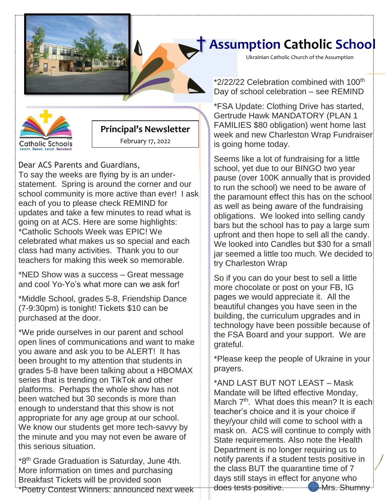

# **Catholic Schools** j

#### **Principal's Newsletter**

February 17, 2022

#### Dear ACS Parents and Guardians,

To say the weeks are flying by is an understatement. Spring is around the corner and our school community is more active than ever! I ask each of you to please check REMIND for updates and take a few minutes to read what is going on at ACS. Here are some highlights: \*Catholic Schools Week was EPIC! We celebrated what makes us so special and each class had many activities. Thank you to our teachers for making this week so memorable.

\*NED Show was a success – Great message and cool Yo-Yo's what more can we ask for!

\*Middle School, grades 5-8, Friendship Dance (7-9:30pm) is tonight! Tickets \$10 can be purchased at the door.

\*We pride ourselves in our parent and school open lines of communications and want to make you aware and ask you to be ALERT! It has been brought to my attention that students in grades 5-8 have been talking about a HBOMAX series that is trending on TikTok and other platforms. Perhaps the whole show has not been watched but 30 seconds is more than enough to understand that this show is not appropriate for any age group at our school. We know our students get more tech-savvy by the minute and you may not even be aware of this serious situation.

\*8th Grade Graduation is Saturday, June 4th. More information on times and purchasing Breakfast Tickets will be provided soon \*Poetry Contest Winners: announced next week

### † **Assumption Catholic School**

Ukrainian Catholic Church of the Assumption

\*2/22/22 Celebration combined with 100<sup>th</sup> Day of school celebration – see REMIND

**[Date]** \*FSA Update: Clothing Drive has started, Gertrude Hawk MANDATORY (PLAN 1 FAMILIES \$80 obligation) went home last week and new Charleston Wrap Fundraiser is going home today.

Seems like a lot of fundraising for a little school, yet due to our BINGO two year pause (over 100K annually that is provided to run the school) we need to be aware of the paramount effect this has on the school as well as being aware of the fundraising obligations. We looked into selling candy bars but the school has to pay a large sum upfront and then hope to sell all the candy. We looked into Candles but \$30 for a small jar seemed a little too much. We decided to try Charleston Wrap

So if you can do your best to sell a little more chocolate or post on your FB, IG pages we would appreciate it. All the beautiful changes you have seen in the building, the curriculum upgrades and in technology have been possible because of the FSA Board and your support. We are grateful.

\*Please keep the people of Ukraine in your prayers.

\*AND LAST BUT NOT LEAST – Mask Mandate will be lifted effective Monday, March  $7<sup>th</sup>$ . What does this mean? It is each teacher's choice and it is your choice if they/your child will come to school with a mask on. ACS will continue to comply with State requirements. Also note the Health Department is no longer requiring us to notify parents if a student tests positive in the class BUT the quarantine time of 7 days still stays in effect for anyone who does tests positive. **49 Mrs. Shumny**